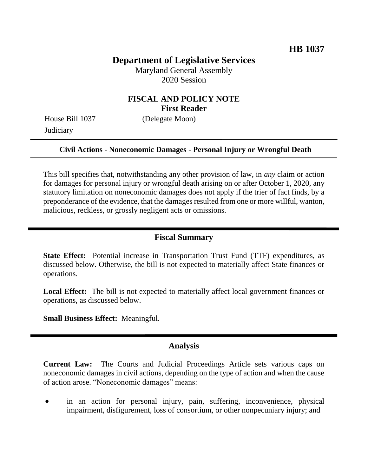# **Department of Legislative Services**

Maryland General Assembly 2020 Session

### **FISCAL AND POLICY NOTE First Reader**

House Bill 1037 (Delegate Moon) **Judiciary** 

# **Civil Actions - Noneconomic Damages - Personal Injury or Wrongful Death**

This bill specifies that, notwithstanding any other provision of law, in *any* claim or action for damages for personal injury or wrongful death arising on or after October 1, 2020, any statutory limitation on noneconomic damages does not apply if the trier of fact finds, by a preponderance of the evidence, that the damages resulted from one or more willful, wanton, malicious, reckless, or grossly negligent acts or omissions.

#### **Fiscal Summary**

**State Effect:** Potential increase in Transportation Trust Fund (TTF) expenditures, as discussed below. Otherwise, the bill is not expected to materially affect State finances or operations.

**Local Effect:** The bill is not expected to materially affect local government finances or operations, as discussed below.

**Small Business Effect:** Meaningful.

#### **Analysis**

**Current Law:** The Courts and Judicial Proceedings Article sets various caps on noneconomic damages in civil actions, depending on the type of action and when the cause of action arose. "Noneconomic damages" means:

 in an action for personal injury, pain, suffering, inconvenience, physical impairment, disfigurement, loss of consortium, or other nonpecuniary injury; and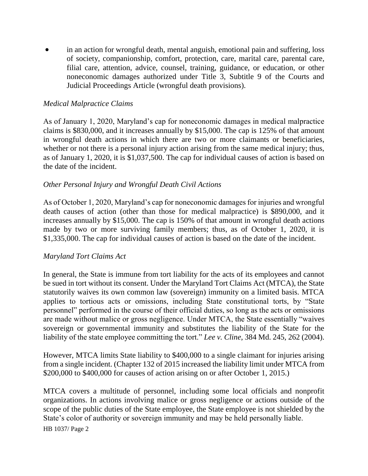in an action for wrongful death, mental anguish, emotional pain and suffering, loss of society, companionship, comfort, protection, care, marital care, parental care, filial care, attention, advice, counsel, training, guidance, or education, or other noneconomic damages authorized under Title 3, Subtitle 9 of the Courts and Judicial Proceedings Article (wrongful death provisions).

#### *Medical Malpractice Claims*

As of January 1, 2020, Maryland's cap for noneconomic damages in medical malpractice claims is \$830,000, and it increases annually by \$15,000. The cap is 125% of that amount in wrongful death actions in which there are two or more claimants or beneficiaries, whether or not there is a personal injury action arising from the same medical injury; thus, as of January 1, 2020, it is \$1,037,500. The cap for individual causes of action is based on the date of the incident.

#### *Other Personal Injury and Wrongful Death Civil Actions*

As of October 1, 2020, Maryland's cap for noneconomic damages for injuries and wrongful death causes of action (other than those for medical malpractice) is \$890,000, and it increases annually by \$15,000. The cap is 150% of that amount in wrongful death actions made by two or more surviving family members; thus, as of October 1, 2020, it is \$1,335,000. The cap for individual causes of action is based on the date of the incident.

#### *Maryland Tort Claims Act*

In general, the State is immune from tort liability for the acts of its employees and cannot be sued in tort without its consent. Under the Maryland Tort Claims Act (MTCA), the State statutorily waives its own common law (sovereign) immunity on a limited basis. MTCA applies to tortious acts or omissions, including State constitutional torts, by "State personnel" performed in the course of their official duties, so long as the acts or omissions are made without malice or gross negligence. Under MTCA, the State essentially "waives sovereign or governmental immunity and substitutes the liability of the State for the liability of the state employee committing the tort." *Lee v. Cline*, 384 Md. 245, 262 (2004).

However, MTCA limits State liability to \$400,000 to a single claimant for injuries arising from a single incident. (Chapter 132 of 2015 increased the liability limit under MTCA from \$200,000 to \$400,000 for causes of action arising on or after October 1, 2015.)

MTCA covers a multitude of personnel, including some local officials and nonprofit organizations. In actions involving malice or gross negligence or actions outside of the scope of the public duties of the State employee, the State employee is not shielded by the State's color of authority or sovereign immunity and may be held personally liable.

HB 1037/ Page 2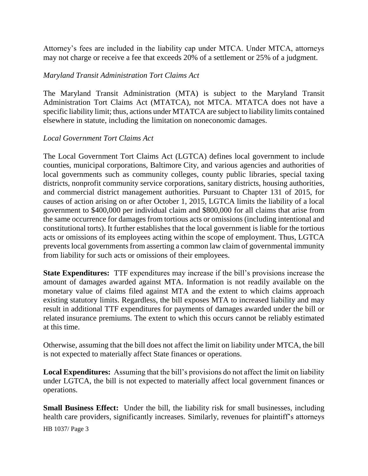Attorney's fees are included in the liability cap under MTCA. Under MTCA, attorneys may not charge or receive a fee that exceeds 20% of a settlement or 25% of a judgment.

#### *Maryland Transit Administration Tort Claims Act*

The Maryland Transit Administration (MTA) is subject to the Maryland Transit Administration Tort Claims Act (MTATCA), not MTCA. MTATCA does not have a specific liability limit; thus, actions under MTATCA are subject to liability limits contained elsewhere in statute, including the limitation on noneconomic damages.

#### *Local Government Tort Claims Act*

The Local Government Tort Claims Act (LGTCA) defines local government to include counties, municipal corporations, Baltimore City, and various agencies and authorities of local governments such as community colleges, county public libraries, special taxing districts, nonprofit community service corporations, sanitary districts, housing authorities, and commercial district management authorities. Pursuant to Chapter 131 of 2015, for causes of action arising on or after October 1, 2015, LGTCA limits the liability of a local government to \$400,000 per individual claim and \$800,000 for all claims that arise from the same occurrence for damages from tortious acts or omissions (including intentional and constitutional torts). It further establishes that the local government is liable for the tortious acts or omissions of its employees acting within the scope of employment. Thus, LGTCA prevents local governments from asserting a common law claim of governmental immunity from liability for such acts or omissions of their employees.

**State Expenditures:** TTF expenditures may increase if the bill's provisions increase the amount of damages awarded against MTA. Information is not readily available on the monetary value of claims filed against MTA and the extent to which claims approach existing statutory limits. Regardless, the bill exposes MTA to increased liability and may result in additional TTF expenditures for payments of damages awarded under the bill or related insurance premiums. The extent to which this occurs cannot be reliably estimated at this time.

Otherwise, assuming that the bill does not affect the limit on liability under MTCA, the bill is not expected to materially affect State finances or operations.

**Local Expenditures:** Assuming that the bill's provisions do not affect the limit on liability under LGTCA, the bill is not expected to materially affect local government finances or operations.

**Small Business Effect:** Under the bill, the liability risk for small businesses, including health care providers, significantly increases. Similarly, revenues for plaintiff's attorneys

HB 1037/ Page 3